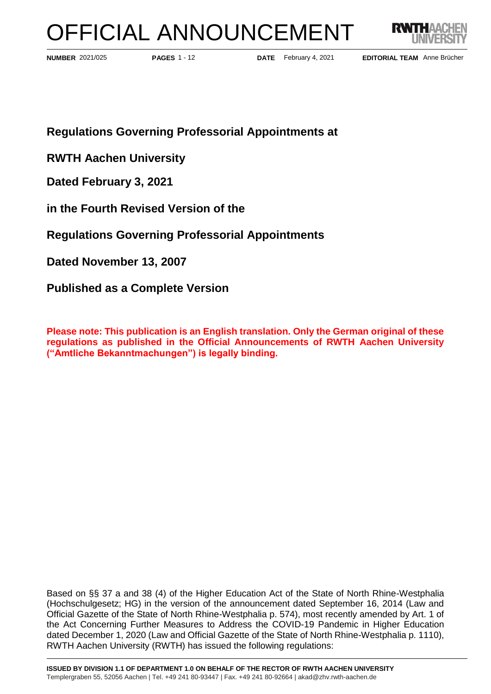# OFFICIAL ANNOUNCEMENT



**PAGES** 1 - 12

**NUMBER** 2021/025 **PAGES** 1 - 12 **DATE** February 4, 2021

EDITORIAL TEAM Anne Brücher

**Regulations Governing Professorial Appointments at**

**RWTH Aachen University**

**Dated February 3, 2021**

**in the Fourth Revised Version of the** 

**Regulations Governing Professorial Appointments**

**Dated November 13, 2007**

**Published as a Complete Version**

**Please note: This publication is an English translation. Only the German original of these regulations as published in the Official Announcements of RWTH Aachen University ("Amtliche Bekanntmachungen") is legally binding.**

Based on §§ 37 a and 38 (4) of the Higher Education Act of the State of North Rhine-Westphalia (Hochschulgesetz; HG) in the version of the announcement dated September 16, 2014 (Law and Official Gazette of the State of North Rhine-Westphalia p. 574), most recently amended by Art. 1 of the Act Concerning Further Measures to Address the COVID-19 Pandemic in Higher Education dated December 1, 2020 (Law and Official Gazette of the State of North Rhine-Westphalia p. 1110), RWTH Aachen University (RWTH) has issued the following regulations: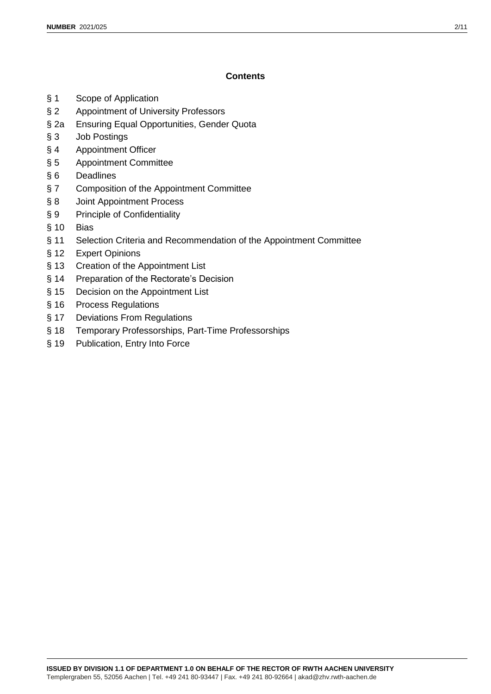## **Contents**

- § 1 Scope of Application
- § 2 Appointment of University Professors
- § 2a Ensuring Equal Opportunities, Gender Quota
- § 3 Job Postings
- § 4 Appointment Officer
- § 5 Appointment Committee
- § 6 Deadlines
- § 7 Composition of the Appointment Committee
- § 8 Joint Appointment Process
- § 9 Principle of Confidentiality
- § 10 Bias
- § 11 Selection Criteria and Recommendation of the Appointment Committee
- § 12 Expert Opinions
- § 13 Creation of the Appointment List
- § 14 Preparation of the Rectorate's Decision
- § 15 Decision on the Appointment List
- § 16 Process Regulations
- § 17 Deviations From Regulations
- § 18 Temporary Professorships, Part-Time Professorships
- § 19 Publication, Entry Into Force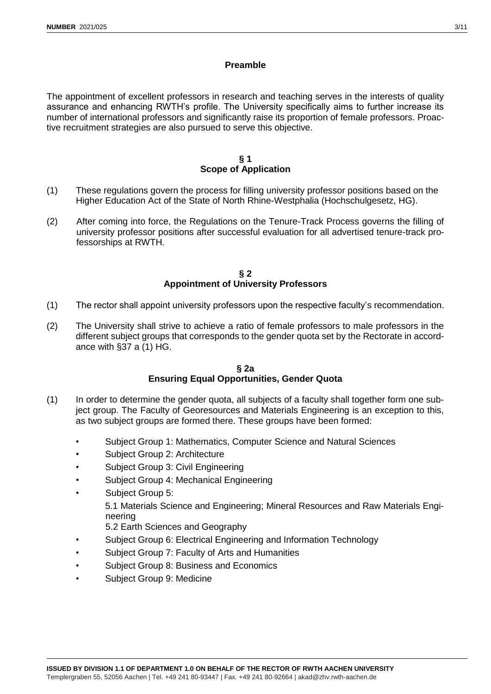## **Preamble**

The appointment of excellent professors in research and teaching serves in the interests of quality assurance and enhancing RWTH's profile. The University specifically aims to further increase its number of international professors and significantly raise its proportion of female professors. Proactive recruitment strategies are also pursued to serve this objective.

#### **§ 1 Scope of Application**

- (1) These regulations govern the process for filling university professor positions based on the Higher Education Act of the State of North Rhine-Westphalia (Hochschulgesetz, HG).
- (2) After coming into force, the Regulations on the Tenure-Track Process governs the filling of university professor positions after successful evaluation for all advertised tenure-track professorships at RWTH.

#### **§ 2 Appointment of University Professors**

- (1) The rector shall appoint university professors upon the respective faculty's recommendation.
- (2) The University shall strive to achieve a ratio of female professors to male professors in the different subject groups that corresponds to the gender quota set by the Rectorate in accordance with §37 a (1) HG.

#### **§ 2a Ensuring Equal Opportunities, Gender Quota**

- (1) In order to determine the gender quota, all subjects of a faculty shall together form one subject group. The Faculty of Georesources and Materials Engineering is an exception to this, as two subject groups are formed there. These groups have been formed:
	- Subject Group 1: Mathematics, Computer Science and Natural Sciences
	- Subject Group 2: Architecture
	- Subject Group 3: Civil Engineering
	- Subject Group 4: Mechanical Engineering
	- Subject Group 5: 5.1 Materials Science and Engineering; Mineral Resources and Raw Materials Engineering
		- 5.2 Earth Sciences and Geography
	- Subject Group 6: Electrical Engineering and Information Technology
	- Subject Group 7: Faculty of Arts and Humanities
	- Subject Group 8: Business and Economics
	- Subject Group 9: Medicine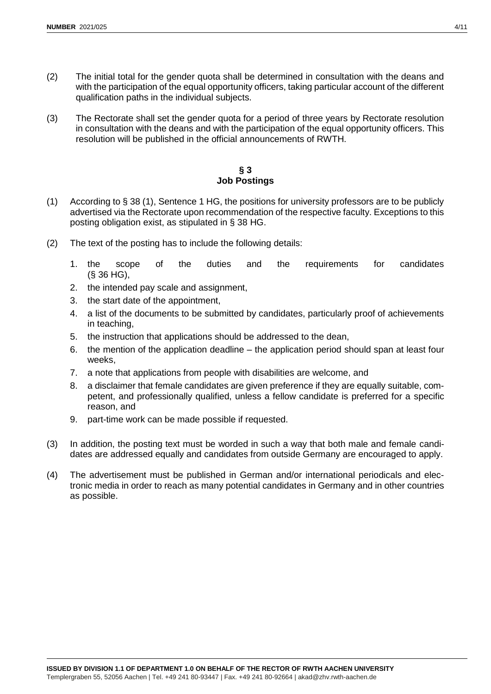- (2) The initial total for the gender quota shall be determined in consultation with the deans and with the participation of the equal opportunity officers, taking particular account of the different qualification paths in the individual subjects.
- (3) The Rectorate shall set the gender quota for a period of three years by Rectorate resolution in consultation with the deans and with the participation of the equal opportunity officers. This resolution will be published in the official announcements of RWTH.

#### **§ 3 Job Postings**

- (1) According to § 38 (1), Sentence 1 HG, the positions for university professors are to be publicly advertised via the Rectorate upon recommendation of the respective faculty. Exceptions to this posting obligation exist, as stipulated in § 38 HG.
- (2) The text of the posting has to include the following details:
	- 1. the scope of the duties and the requirements for candidates (§ 36 HG),
	- 2. the intended pay scale and assignment,
	- 3. the start date of the appointment,
	- 4. a list of the documents to be submitted by candidates, particularly proof of achievements in teaching,
	- 5. the instruction that applications should be addressed to the dean,
	- 6. the mention of the application deadline the application period should span at least four weeks,
	- 7. a note that applications from people with disabilities are welcome, and
	- 8. a disclaimer that female candidates are given preference if they are equally suitable, competent, and professionally qualified, unless a fellow candidate is preferred for a specific reason, and
	- 9. part-time work can be made possible if requested.
- (3) In addition, the posting text must be worded in such a way that both male and female candidates are addressed equally and candidates from outside Germany are encouraged to apply.
- (4) The advertisement must be published in German and/or international periodicals and electronic media in order to reach as many potential candidates in Germany and in other countries as possible.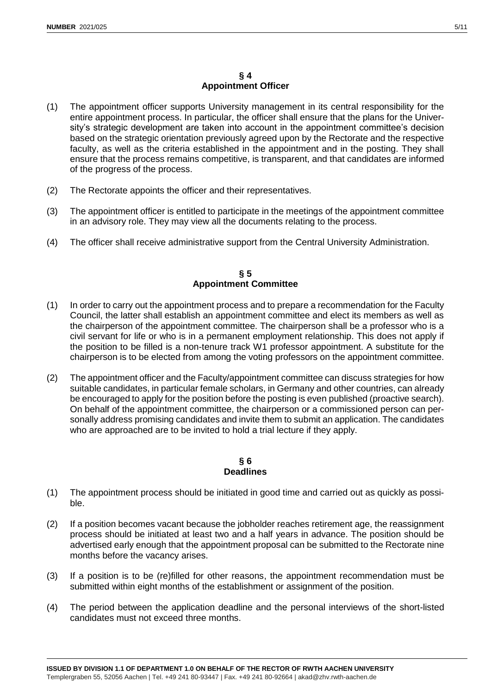## **§ 4 Appointment Officer**

- (1) The appointment officer supports University management in its central responsibility for the entire appointment process. In particular, the officer shall ensure that the plans for the University's strategic development are taken into account in the appointment committee's decision based on the strategic orientation previously agreed upon by the Rectorate and the respective faculty, as well as the criteria established in the appointment and in the posting. They shall ensure that the process remains competitive, is transparent, and that candidates are informed of the progress of the process.
- (2) The Rectorate appoints the officer and their representatives.
- (3) The appointment officer is entitled to participate in the meetings of the appointment committee in an advisory role. They may view all the documents relating to the process.
- (4) The officer shall receive administrative support from the Central University Administration.

## **§ 5 Appointment Committee**

- (1) In order to carry out the appointment process and to prepare a recommendation for the Faculty Council, the latter shall establish an appointment committee and elect its members as well as the chairperson of the appointment committee. The chairperson shall be a professor who is a civil servant for life or who is in a permanent employment relationship. This does not apply if the position to be filled is a non-tenure track W1 professor appointment. A substitute for the chairperson is to be elected from among the voting professors on the appointment committee.
- (2) The appointment officer and the Faculty/appointment committee can discuss strategies for how suitable candidates, in particular female scholars, in Germany and other countries, can already be encouraged to apply for the position before the posting is even published (proactive search). On behalf of the appointment committee, the chairperson or a commissioned person can personally address promising candidates and invite them to submit an application. The candidates who are approached are to be invited to hold a trial lecture if they apply.

#### **§ 6 Deadlines**

- (1) The appointment process should be initiated in good time and carried out as quickly as possible.
- (2) If a position becomes vacant because the jobholder reaches retirement age, the reassignment process should be initiated at least two and a half years in advance. The position should be advertised early enough that the appointment proposal can be submitted to the Rectorate nine months before the vacancy arises.
- (3) If a position is to be (re)filled for other reasons, the appointment recommendation must be submitted within eight months of the establishment or assignment of the position.
- (4) The period between the application deadline and the personal interviews of the short-listed candidates must not exceed three months.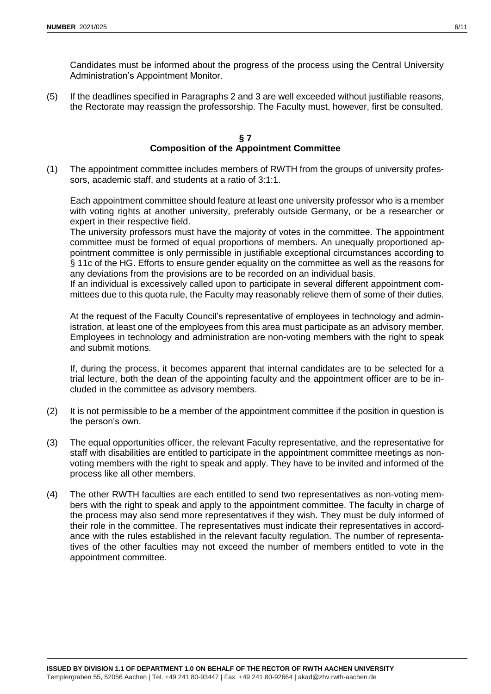Candidates must be informed about the progress of the process using the Central University Administration's Appointment Monitor.

(5) If the deadlines specified in Paragraphs 2 and 3 are well exceeded without justifiable reasons, the Rectorate may reassign the professorship. The Faculty must, however, first be consulted.

#### **§ 7 Composition of the Appointment Committee**

(1) The appointment committee includes members of RWTH from the groups of university professors, academic staff, and students at a ratio of 3:1:1.

Each appointment committee should feature at least one university professor who is a member with voting rights at another university, preferably outside Germany, or be a researcher or expert in their respective field.

The university professors must have the majority of votes in the committee. The appointment committee must be formed of equal proportions of members. An unequally proportioned appointment committee is only permissible in justifiable exceptional circumstances according to § 11c of the HG. Efforts to ensure gender equality on the committee as well as the reasons for any deviations from the provisions are to be recorded on an individual basis.

If an individual is excessively called upon to participate in several different appointment committees due to this quota rule, the Faculty may reasonably relieve them of some of their duties.

At the request of the Faculty Council's representative of employees in technology and administration, at least one of the employees from this area must participate as an advisory member. Employees in technology and administration are non-voting members with the right to speak and submit motions.

If, during the process, it becomes apparent that internal candidates are to be selected for a trial lecture, both the dean of the appointing faculty and the appointment officer are to be included in the committee as advisory members.

- (2) It is not permissible to be a member of the appointment committee if the position in question is the person's own.
- (3) The equal opportunities officer, the relevant Faculty representative, and the representative for staff with disabilities are entitled to participate in the appointment committee meetings as nonvoting members with the right to speak and apply. They have to be invited and informed of the process like all other members.
- (4) The other RWTH faculties are each entitled to send two representatives as non-voting members with the right to speak and apply to the appointment committee. The faculty in charge of the process may also send more representatives if they wish. They must be duly informed of their role in the committee. The representatives must indicate their representatives in accordance with the rules established in the relevant faculty regulation. The number of representatives of the other faculties may not exceed the number of members entitled to vote in the appointment committee.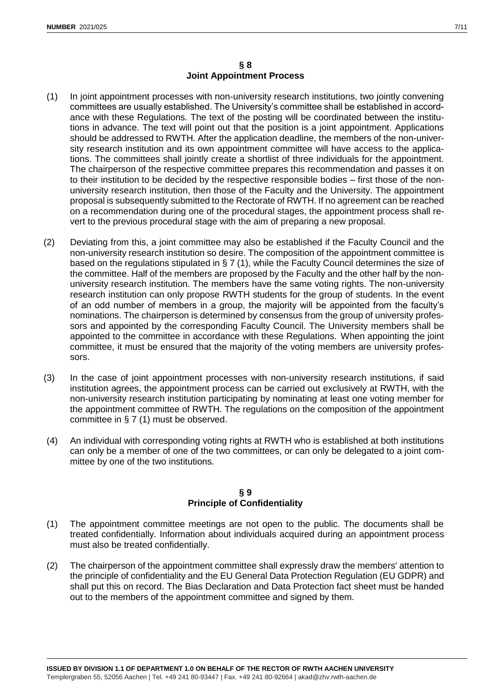- (1) In joint appointment processes with non-university research institutions, two jointly convening committees are usually established. The University's committee shall be established in accordance with these Regulations. The text of the posting will be coordinated between the institutions in advance. The text will point out that the position is a joint appointment. Applications should be addressed to RWTH. After the application deadline, the members of the non-university research institution and its own appointment committee will have access to the applications. The committees shall jointly create a shortlist of three individuals for the appointment. The chairperson of the respective committee prepares this recommendation and passes it on to their institution to be decided by the respective responsible bodies – first those of the nonuniversity research institution, then those of the Faculty and the University. The appointment proposal is subsequently submitted to the Rectorate of RWTH. If no agreement can be reached on a recommendation during one of the procedural stages, the appointment process shall revert to the previous procedural stage with the aim of preparing a new proposal.
- (2) Deviating from this, a joint committee may also be established if the Faculty Council and the non-university research institution so desire. The composition of the appointment committee is based on the regulations stipulated in § 7 (1), while the Faculty Council determines the size of the committee. Half of the members are proposed by the Faculty and the other half by the nonuniversity research institution. The members have the same voting rights. The non-university research institution can only propose RWTH students for the group of students. In the event of an odd number of members in a group, the majority will be appointed from the faculty's nominations. The chairperson is determined by consensus from the group of university professors and appointed by the corresponding Faculty Council. The University members shall be appointed to the committee in accordance with these Regulations. When appointing the joint committee, it must be ensured that the majority of the voting members are university professors.
- (3) In the case of joint appointment processes with non-university research institutions, if said institution agrees, the appointment process can be carried out exclusively at RWTH, with the non-university research institution participating by nominating at least one voting member for the appointment committee of RWTH. The regulations on the composition of the appointment committee in § 7 (1) must be observed.
- (4) An individual with corresponding voting rights at RWTH who is established at both institutions can only be a member of one of the two committees, or can only be delegated to a joint committee by one of the two institutions.

## **§ 9 Principle of Confidentiality**

- (1) The appointment committee meetings are not open to the public. The documents shall be treated confidentially. Information about individuals acquired during an appointment process must also be treated confidentially.
- (2) The chairperson of the appointment committee shall expressly draw the members' attention to the principle of confidentiality and the EU General Data Protection Regulation (EU GDPR) and shall put this on record. The Bias Declaration and Data Protection fact sheet must be handed out to the members of the appointment committee and signed by them.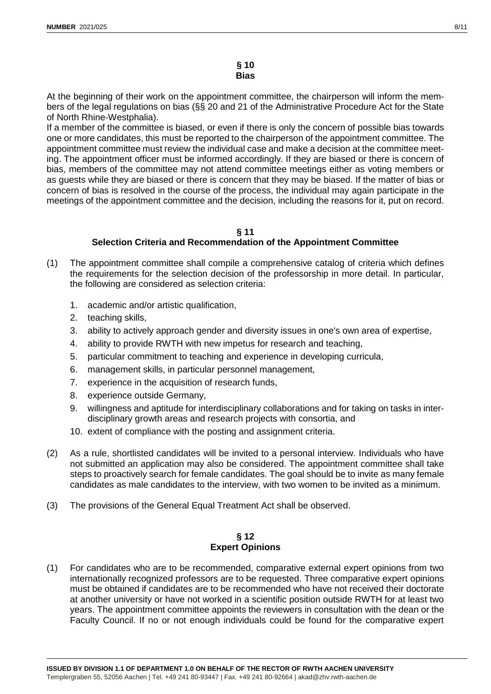At the beginning of their work on the appointment committee, the chairperson will inform the members of the legal regulations on bias (§§ 20 and 21 of the Administrative Procedure Act for the State of North Rhine-Westphalia).

If a member of the committee is biased, or even if there is only the concern of possible bias towards one or more candidates, this must be reported to the chairperson of the appointment committee. The appointment committee must review the individual case and make a decision at the committee meeting. The appointment officer must be informed accordingly. If they are biased or there is concern of bias, members of the committee may not attend committee meetings either as voting members or as guests while they are biased or there is concern that they may be biased. If the matter of bias or concern of bias is resolved in the course of the process, the individual may again participate in the meetings of the appointment committee and the decision, including the reasons for it, put on record.

#### **§ 11 Selection Criteria and Recommendation of the Appointment Committee**

- (1) The appointment committee shall compile a comprehensive catalog of criteria which defines the requirements for the selection decision of the professorship in more detail. In particular, the following are considered as selection criteria:
	- 1. academic and/or artistic qualification,
	- 2. teaching skills,
	- 3. ability to actively approach gender and diversity issues in one's own area of expertise,
	- 4. ability to provide RWTH with new impetus for research and teaching,
	- 5. particular commitment to teaching and experience in developing curricula,
	- 6. management skills, in particular personnel management,
	- 7. experience in the acquisition of research funds,
	- 8. experience outside Germany,
	- 9. willingness and aptitude for interdisciplinary collaborations and for taking on tasks in interdisciplinary growth areas and research projects with consortia, and
	- 10. extent of compliance with the posting and assignment criteria.
- (2) As a rule, shortlisted candidates will be invited to a personal interview. Individuals who have not submitted an application may also be considered. The appointment committee shall take steps to proactively search for female candidates. The goal should be to invite as many female candidates as male candidates to the interview, with two women to be invited as a minimum.
- (3) The provisions of the General Equal Treatment Act shall be observed.

#### **§ 12 Expert Opinions**

(1) For candidates who are to be recommended, comparative external expert opinions from two internationally recognized professors are to be requested. Three comparative expert opinions must be obtained if candidates are to be recommended who have not received their doctorate at another university or have not worked in a scientific position outside RWTH for at least two years. The appointment committee appoints the reviewers in consultation with the dean or the Faculty Council. If no or not enough individuals could be found for the comparative expert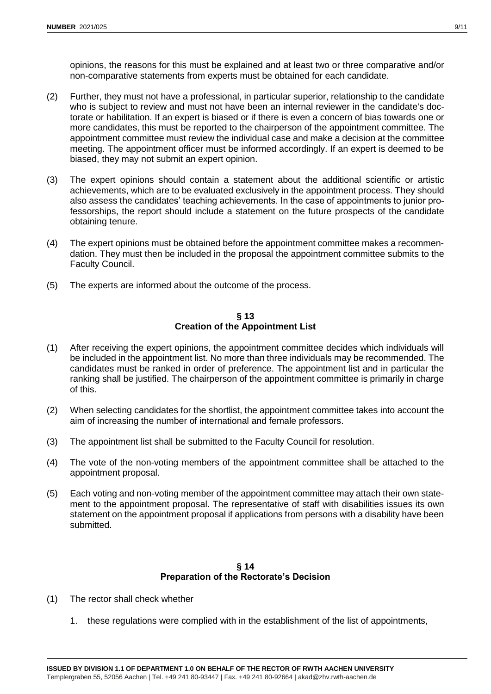opinions, the reasons for this must be explained and at least two or three comparative and/or non-comparative statements from experts must be obtained for each candidate.

- (2) Further, they must not have a professional, in particular superior, relationship to the candidate who is subject to review and must not have been an internal reviewer in the candidate's doctorate or habilitation. If an expert is biased or if there is even a concern of bias towards one or more candidates, this must be reported to the chairperson of the appointment committee. The appointment committee must review the individual case and make a decision at the committee meeting. The appointment officer must be informed accordingly. If an expert is deemed to be biased, they may not submit an expert opinion.
- (3) The expert opinions should contain a statement about the additional scientific or artistic achievements, which are to be evaluated exclusively in the appointment process. They should also assess the candidates' teaching achievements. In the case of appointments to junior professorships, the report should include a statement on the future prospects of the candidate obtaining tenure.
- (4) The expert opinions must be obtained before the appointment committee makes a recommendation. They must then be included in the proposal the appointment committee submits to the Faculty Council.
- (5) The experts are informed about the outcome of the process.

#### **§ 13 Creation of the Appointment List**

- (1) After receiving the expert opinions, the appointment committee decides which individuals will be included in the appointment list. No more than three individuals may be recommended. The candidates must be ranked in order of preference. The appointment list and in particular the ranking shall be justified. The chairperson of the appointment committee is primarily in charge of this.
- (2) When selecting candidates for the shortlist, the appointment committee takes into account the aim of increasing the number of international and female professors.
- (3) The appointment list shall be submitted to the Faculty Council for resolution.
- (4) The vote of the non-voting members of the appointment committee shall be attached to the appointment proposal.
- (5) Each voting and non-voting member of the appointment committee may attach their own statement to the appointment proposal. The representative of staff with disabilities issues its own statement on the appointment proposal if applications from persons with a disability have been submitted.

## **§ 14 Preparation of the Rectorate's Decision**

- (1) The rector shall check whether
	- 1. these regulations were complied with in the establishment of the list of appointments,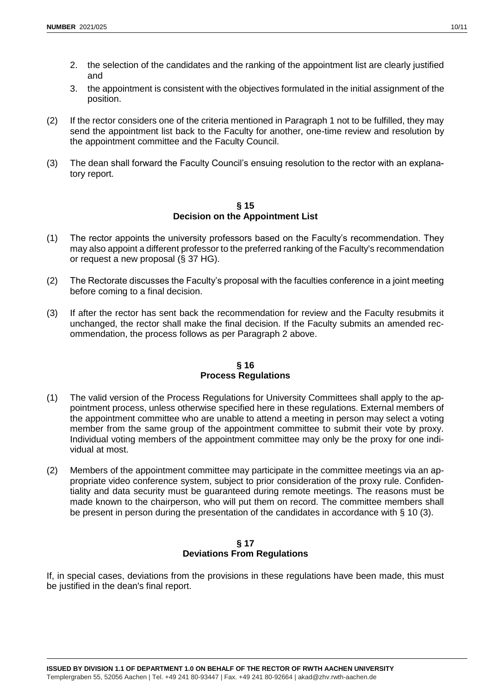- 2. the selection of the candidates and the ranking of the appointment list are clearly justified and
- 3. the appointment is consistent with the objectives formulated in the initial assignment of the position.
- (2) If the rector considers one of the criteria mentioned in Paragraph 1 not to be fulfilled, they may send the appointment list back to the Faculty for another, one-time review and resolution by the appointment committee and the Faculty Council.
- (3) The dean shall forward the Faculty Council's ensuing resolution to the rector with an explanatory report.

**§ 15 Decision on the Appointment List**

- (1) The rector appoints the university professors based on the Faculty's recommendation. They may also appoint a different professor to the preferred ranking of the Faculty's recommendation or request a new proposal (§ 37 HG).
- (2) The Rectorate discusses the Faculty's proposal with the faculties conference in a joint meeting before coming to a final decision.
- (3) If after the rector has sent back the recommendation for review and the Faculty resubmits it unchanged, the rector shall make the final decision. If the Faculty submits an amended recommendation, the process follows as per Paragraph 2 above.

## **§ 16 Process Regulations**

- (1) The valid version of the Process Regulations for University Committees shall apply to the appointment process, unless otherwise specified here in these regulations. External members of the appointment committee who are unable to attend a meeting in person may select a voting member from the same group of the appointment committee to submit their vote by proxy. Individual voting members of the appointment committee may only be the proxy for one individual at most.
- (2) Members of the appointment committee may participate in the committee meetings via an appropriate video conference system, subject to prior consideration of the proxy rule. Confidentiality and data security must be guaranteed during remote meetings. The reasons must be made known to the chairperson, who will put them on record. The committee members shall be present in person during the presentation of the candidates in accordance with § 10 (3).

#### **§ 17 Deviations From Regulations**

If, in special cases, deviations from the provisions in these regulations have been made, this must be justified in the dean's final report.